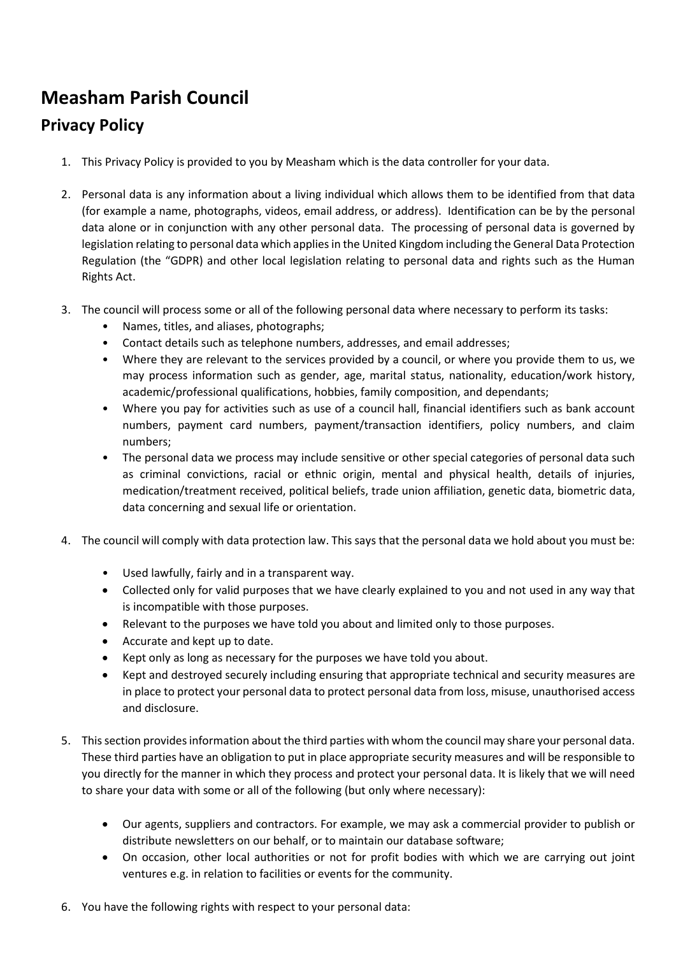## **Measham Parish Council**

## **Privacy Policy**

- 1. This Privacy Policy is provided to you by Measham which is the data controller for your data.
- 2. Personal data is any information about a living individual which allows them to be identified from that data (for example a name, photographs, videos, email address, or address). Identification can be by the personal data alone or in conjunction with any other personal data. The processing of personal data is governed by legislation relating to personal data which applies in the United Kingdom including the General Data Protection Regulation (the "GDPR) and other local legislation relating to personal data and rights such as the Human Rights Act.
- 3. The council will process some or all of the following personal data where necessary to perform its tasks:
	- Names, titles, and aliases, photographs;
	- Contact details such as telephone numbers, addresses, and email addresses;
	- Where they are relevant to the services provided by a council, or where you provide them to us, we may process information such as gender, age, marital status, nationality, education/work history, academic/professional qualifications, hobbies, family composition, and dependants;
	- Where you pay for activities such as use of a council hall, financial identifiers such as bank account numbers, payment card numbers, payment/transaction identifiers, policy numbers, and claim numbers;
	- The personal data we process may include sensitive or other special categories of personal data such as criminal convictions, racial or ethnic origin, mental and physical health, details of injuries, medication/treatment received, political beliefs, trade union affiliation, genetic data, biometric data, data concerning and sexual life or orientation.
- 4. The council will comply with data protection law. This says that the personal data we hold about you must be:
	- Used lawfully, fairly and in a transparent way.
	- Collected only for valid purposes that we have clearly explained to you and not used in any way that is incompatible with those purposes.
	- Relevant to the purposes we have told you about and limited only to those purposes.
	- Accurate and kept up to date.
	- Kept only as long as necessary for the purposes we have told you about.
	- Kept and destroyed securely including ensuring that appropriate technical and security measures are in place to protect your personal data to protect personal data from loss, misuse, unauthorised access and disclosure.
- 5. This section provides information about the third parties with whom the council may share your personal data. These third parties have an obligation to put in place appropriate security measures and will be responsible to you directly for the manner in which they process and protect your personal data. It is likely that we will need to share your data with some or all of the following (but only where necessary):
	- Our agents, suppliers and contractors. For example, we may ask a commercial provider to publish or distribute newsletters on our behalf, or to maintain our database software;
	- On occasion, other local authorities or not for profit bodies with which we are carrying out joint ventures e.g. in relation to facilities or events for the community.
- 6. You have the following rights with respect to your personal data: